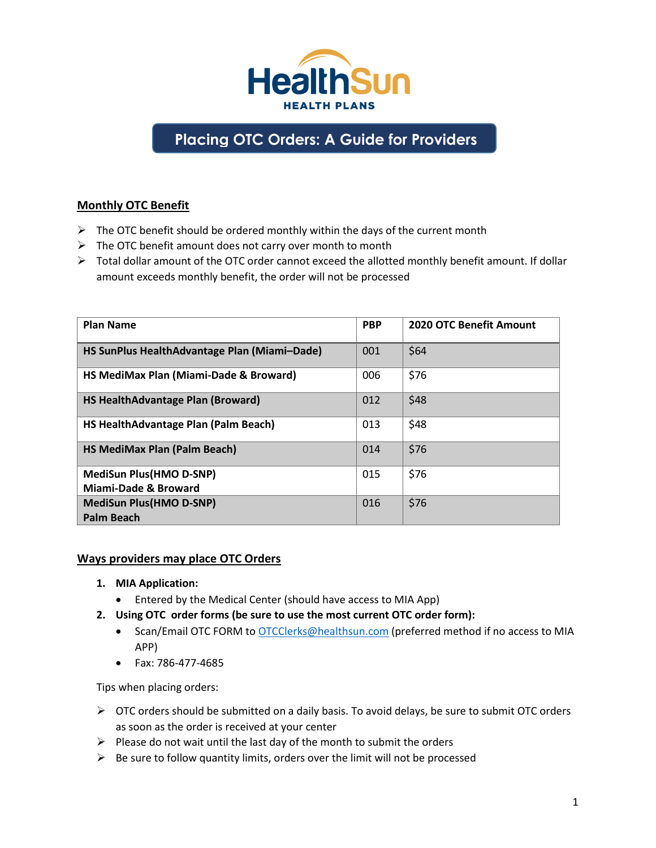

# **Placing OTC Orders: A Guide for Providers**

## **Monthly OTC Benefit**

- $\triangleright$  The OTC benefit should be ordered monthly within the days of the current month
- $\triangleright$  The OTC benefit amount does not carry over month to month
- $\triangleright$  Total dollar amount of the OTC order cannot exceed the allotted monthly benefit amount. If dollar amount exceeds monthly benefit, the order will not be processed

| <b>Plan Name</b>                             | <b>PBP</b> | <b>2020 OTC Benefit Amount</b> |
|----------------------------------------------|------------|--------------------------------|
| HS SunPlus HealthAdvantage Plan (Miami-Dade) | 001        | \$64                           |
| HS MediMax Plan (Miami-Dade & Broward)       | 006        | \$76                           |
| <b>HS HealthAdvantage Plan (Broward)</b>     | 012        | \$48                           |
| HS HealthAdvantage Plan (Palm Beach)         | 013        | \$48                           |
| <b>HS MediMax Plan (Palm Beach)</b>          | 014        | \$76                           |
| <b>MediSun Plus(HMO D-SNP)</b>               | 015        | \$76                           |
| Miami-Dade & Broward                         |            |                                |
| <b>MediSun Plus(HMO D-SNP)</b>               | 016        | \$76                           |
| Palm Beach                                   |            |                                |

#### **Ways providers may place OTC Orders**

- **1. MIA Application:**
	- Entered by the Medical Center (should have access to MIA App)
- **2. Using OTC order forms (be sure to use the most current OTC order form):**
	- Scan/Email OTC FORM to [OTCClerks@healthsun.com](mailto:OTCClerks@healthsun.com) (preferred method if no access to MIA APP)
	- Fax: 786‐477‐4685

Tips when placing orders:

- $\triangleright$  OTC orders should be submitted on a daily basis. To avoid delays, be sure to submit OTC orders as soon as the order is received at your center
- $\triangleright$  Please do not wait until the last day of the month to submit the orders
- $\triangleright$  Be sure to follow quantity limits, orders over the limit will not be processed